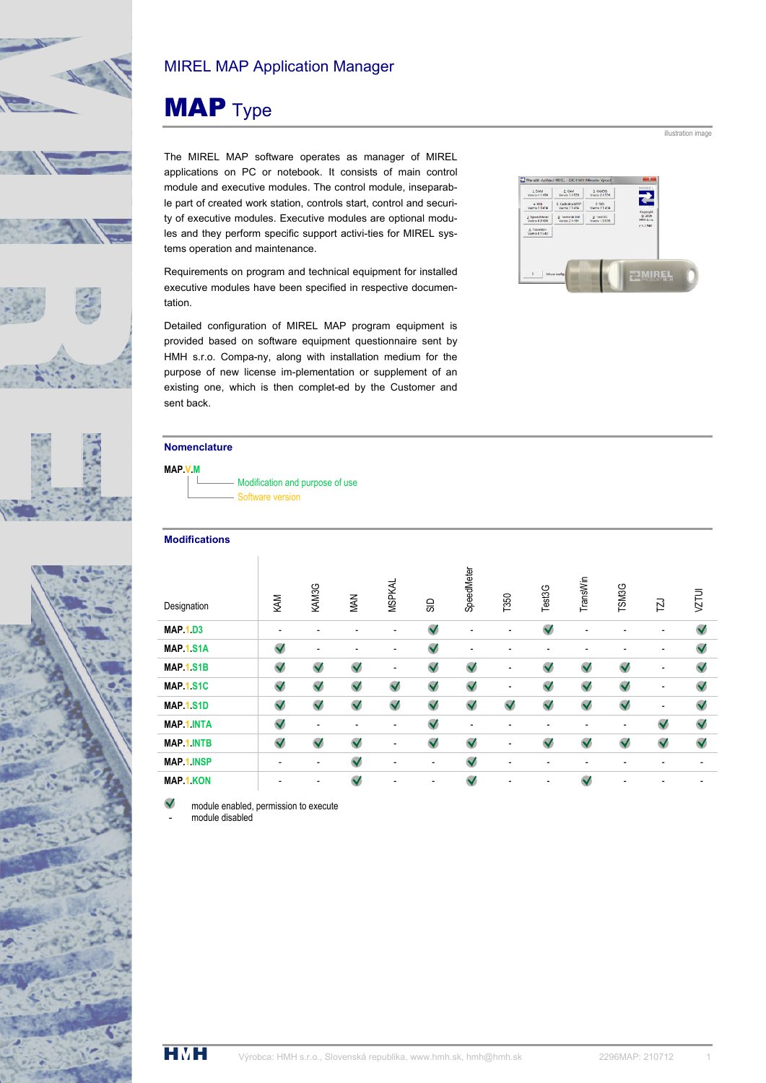

# MIREL MAP Application Manager

# **MAP** Type

The MIREL MAP software operates as manager of MIREL applications on PC or notebook. It consists of main control module and executive modules. The control module, inseparable part of created work station, controls start, control and security of executive modules. Executive modules are optional modules and they perform specific support activi-ties for MIREL systems operation and maintenance.

Requirements on program and technical equipment for installed executive modules have been specified in respective documentation.

Detailed configuration of MIREL MAP program equipment is provided based on software equipment questionnaire sent by HMH s.r.o. Compa-ny, along with installation medium for the purpose of new license im-plementation or supplement of an existing one, which is then complet-ed by the Customer and sent back.



illustration image

### **Nomenclature**



#### **Modifications**

| Designation       | KAM                  | KAM3G        | <b>MAN</b>           | <b>MSPKAL</b>        | SD                   | SpeedMeter           | T350                 | Test3G               | TransWin     | TSM3G                | 口                    | VZTUI        |
|-------------------|----------------------|--------------|----------------------|----------------------|----------------------|----------------------|----------------------|----------------------|--------------|----------------------|----------------------|--------------|
| <b>MAP 1.D3</b>   |                      |              |                      | ٠                    | $\checkmark$         |                      |                      | $\blacktriangledown$ |              |                      |                      | $\checkmark$ |
| <b>MAP.1 S1A</b>  | $\checkmark$         | ۰            | $\overline{a}$       |                      | $\checkmark$         |                      |                      |                      |              |                      |                      | $\checkmark$ |
| <b>MAP.1.S1B</b>  | $\blacktriangledown$ | $\checkmark$ | $\checkmark$         |                      | $\checkmark$         | $\checkmark$         |                      | $\blacktriangledown$ | $\checkmark$ | $\checkmark$         |                      | $\checkmark$ |
| <b>MAP.1 S1C</b>  | $\blacktriangledown$ | $\checkmark$ | $\checkmark$         | $\checkmark$         | $\checkmark$         | $\checkmark$         |                      | $\checkmark$         | $\checkmark$ | $\checkmark$         |                      | $\checkmark$ |
| <b>MAP.1.S1D</b>  | $\blacktriangledown$ | $\checkmark$ | $\blacktriangledown$ | $\blacktriangledown$ | $\blacktriangledown$ | $\blacktriangledown$ | $\blacktriangledown$ | $\blacktriangledown$ | $\checkmark$ | $\blacktriangledown$ |                      | $\checkmark$ |
| <b>MAP.1 INTA</b> | $\blacktriangledown$ | ٠            |                      |                      | $\checkmark$         |                      |                      |                      |              |                      | $\checkmark$         | $\checkmark$ |
| <b>MAP.1 INTB</b> | $\checkmark$         | $\checkmark$ | $\checkmark$         |                      | $\blacktriangledown$ | $\checkmark$         |                      | $\blacktriangledown$ | $\checkmark$ | $\checkmark$         | $\blacktriangledown$ | $\checkmark$ |
| <b>MAP.1 INSP</b> |                      | ٠            | $\checkmark$         |                      |                      | $\checkmark$         |                      |                      |              |                      |                      |              |
| <b>MAP 1 KON</b>  |                      |              | $\blacktriangledown$ |                      |                      | $\checkmark$         |                      |                      | $\checkmark$ |                      |                      |              |

module enabled, permission to execute

module disabled

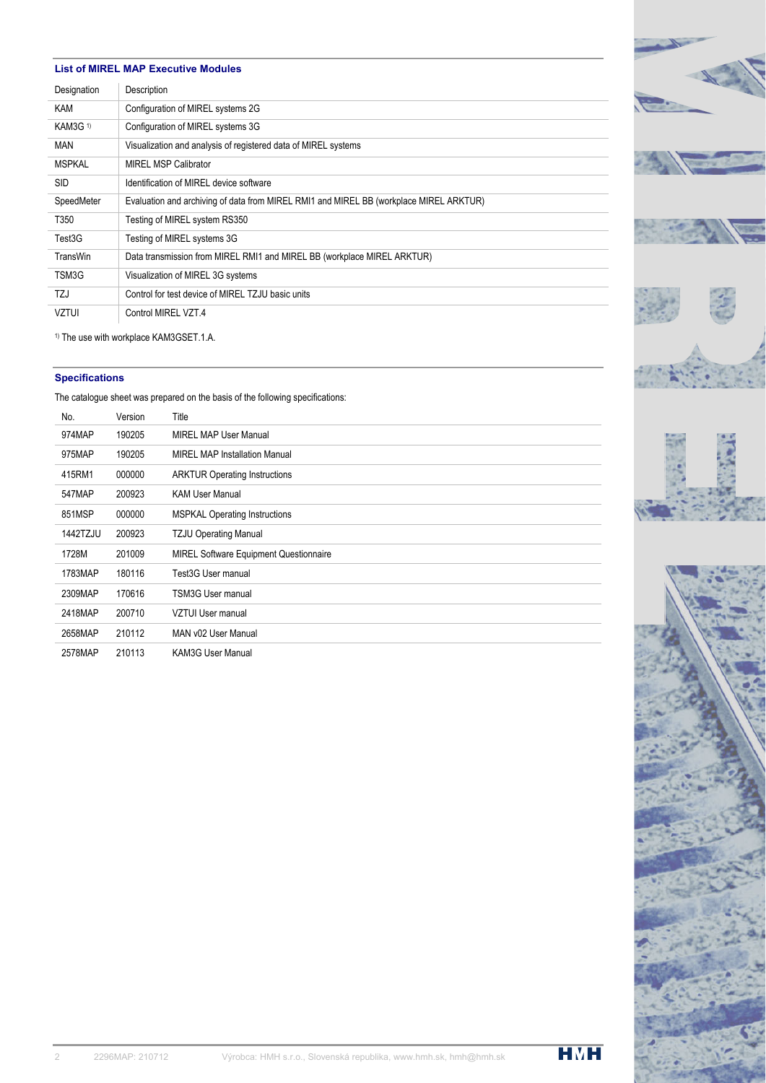#### **List of MIREL MAP Executive Modules**

| Designation     | Description                                                                            |
|-----------------|----------------------------------------------------------------------------------------|
| KAM             | Configuration of MIREL systems 2G                                                      |
| <b>KAM3G 1)</b> | Configuration of MIREL systems 3G                                                      |
| <b>MAN</b>      | Visualization and analysis of registered data of MIREL systems                         |
| <b>MSPKAL</b>   | <b>MIREL MSP Calibrator</b>                                                            |
| <b>SID</b>      | Identification of MIREL device software                                                |
| SpeedMeter      | Evaluation and archiving of data from MIREL RMI1 and MIREL BB (workplace MIREL ARKTUR) |
| T350            | Testing of MIREL system RS350                                                          |
| Test3G          | Testing of MIREL systems 3G                                                            |
| TransWin        | Data transmission from MIREL RMI1 and MIREL BB (workplace MIREL ARKTUR)                |
| TSM3G           | Visualization of MIREL 3G systems                                                      |
| TZJ             | Control for test device of MIREL TZJU basic units                                      |
| <b>VZTUI</b>    | Control MIREL VZT.4                                                                    |

1) The use with workplace KAM3GSET.1.A.

## **Specifications**

The catalogue sheet was prepared on the basis of the following specifications:

| No.             | Version | Title                                         |
|-----------------|---------|-----------------------------------------------|
| 974MAP          | 190205  | MIREL MAP User Manual                         |
| 975MAP          | 190205  | <b>MIREL MAP Installation Manual</b>          |
| 415RM1          | 000000  | <b>ARKTUR Operating Instructions</b>          |
| 547MAP          | 200923  | <b>KAM User Manual</b>                        |
| 851MSP          | 000000  | <b>MSPKAL Operating Instructions</b>          |
| <b>1442TZJU</b> | 200923  | <b>TZJU Operating Manual</b>                  |
| 1728M           | 201009  | <b>MIREL Software Equipment Questionnaire</b> |
| 1783MAP         | 180116  | Test3G User manual                            |
| 2309MAP         | 170616  | TSM3G User manual                             |
| 2418MAP         | 200710  | VZTUI User manual                             |
| 2658MAP         | 210112  | MAN v02 User Manual                           |
| 2578MAP         | 210113  | <b>KAM3G User Manual</b>                      |
|                 |         |                                               |